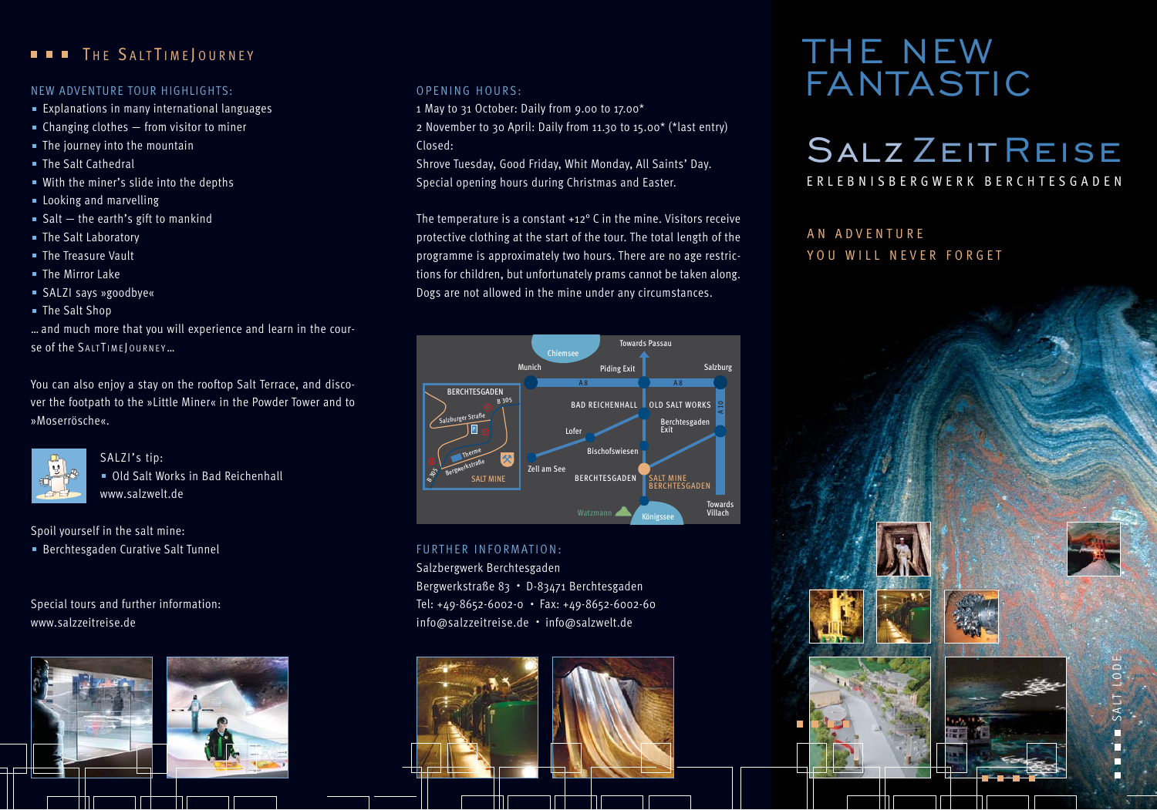# **THE SALTTIME JOURNEY**

- Explanations in many international languages
- $\blacksquare$  Changing clothes  $-$  from visitor to miner
- The journey into the mountain
- The Salt Cathedral
- With the miner's slide into the depths
- **Looking and marvelling**
- Salt  $-$  the earth's gift to mankind
- The Salt Laboratory
- **The Treasure Vault**
- The Mirror Lake
- SALZI says »goodbye«
- The Salt Shop

… and much more that you will experience and learn in the cour-Se of the SALTTIME JOURNEY...

You can also enjoy a stay on the rooftop Salt Terrace, and discover the footpath to the »Little Miner« in the Powder Tower and to »Moserrösche«.



SALZI's tip: Old Salt Works in Bad Reichenhall www.salzwelt.de

Spoil yourself in the salt mine:

Berchtesgaden Curative Salt Tunnel

Special tours and further information: www.salzzeitreise.de



## OPENING HOURS:

1 May to 31 October: Daily from 9.00 to 17.00\*

2 November to 30 April: Daily from 11.30 to 15.00\* (\*last entry) Closed:

Shrove Tuesday, Good Friday, Whit Monday, All Saints' Day. Special opening hours during Christmas and Easter.

The temperature is a constant +12° C in the mine. Visitors receive protective clothing at the start of the tour. The total length of the programme is approximately two hours. There are no age restrictions for children, but unfortunately prams cannot be taken along. Dogs are not allowed in the mine under any circumstances.

#### A 8 A 8  $\frac{10}{2}$ Munich Salzburg Piding Exit Towards Passau Berchtesgaden Exit Zell am See Lofer **Bischofswiesen** Towards Villach **BERCHTESGADEN** BAD REICHENHALL OLD SALT WORKS SALT MINE BERCHTESGADEN Chiemsee Watzmann **Kanann** Königssee **BERCHTESGADEN** SALT MINE Salzburger Straße Bergwerkstraße Therme B 305  $\frac{8}{3}$ P

## FURTHER INFORMATION:

Salzbergwerk Berchtesgaden Bergwerkstraße 83 • D-83471 Berchtesgaden Tel: +49-8652-6002-0 • Fax: +49-8652-6002-60 info@salzzeitreise.de • info@salzwelt.de



# THE NEW NEW ADVENTURE TOUR HIGHLIGHTS: OPENING HOURS: OPENING HOURS:

# Salz Zeit Reise ERLEBNISBERGWERK BERCHTESGADEN

# AN ADVENTURE YOU WILL NEVER FORGET